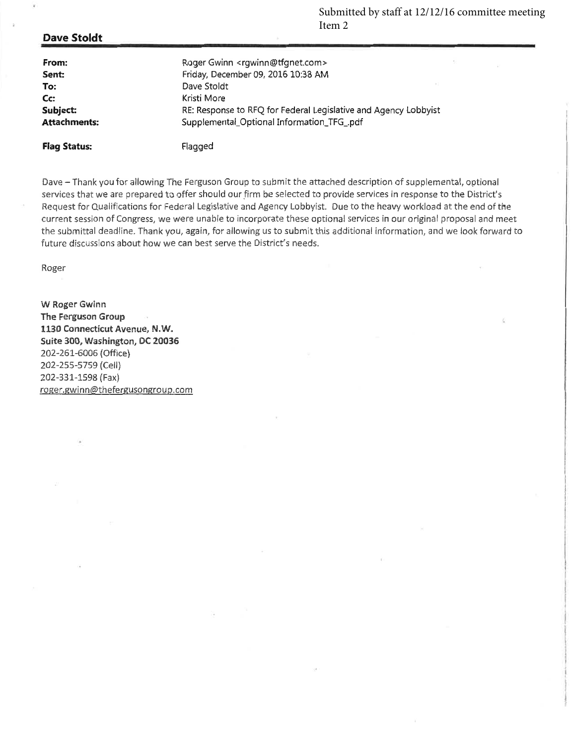Submitted by staff at 12/12/16 committee meeting Item 2

#### **Dave Stoldt**

**Flag Status:** 

| From:               | Roger Gwinn <rgwinn@tfgnet.com></rgwinn@tfgnet.com>             |
|---------------------|-----------------------------------------------------------------|
| Sent:               | Friday, December 09, 2016 10:38 AM                              |
| To:                 | $\lambda \geq 0$<br>Dave Stoldt                                 |
| Cc:                 | Kristi More                                                     |
| Subject:            | RE: Response to RFQ for Federal Legislative and Agency Lobbyist |
| <b>Attachments:</b> | Supplemental_Optional Information_TFG_pdf                       |
|                     |                                                                 |

Flagged

Dave - Thank you for allowing The Ferguson Group to submit the attached description of supplemental, optional services that we are prepared to offer should our firm be selected to provide services in response to the District's Request for Qualifications for Federal Legislative and Agency Lobbyist. Due to the heavy workload at the end of the current session of Congress, we were unable to incorporate these optional services in our original proposal and meet the submittal deadline. Thank you, again, for allowing us to submit this additional information, and we look forward to future discussions about how we can best serve the District's needs.

Roger

W Roger Gwinn The Ferguson Group 1130 Connecticut Avenue, N.W. Suite 300, Washington, DC 20036 202-261-6006 (Office) 202-255-5759 (Cell) 202-331-1598 (Fax) roger.gwinn@thefergusongroup.com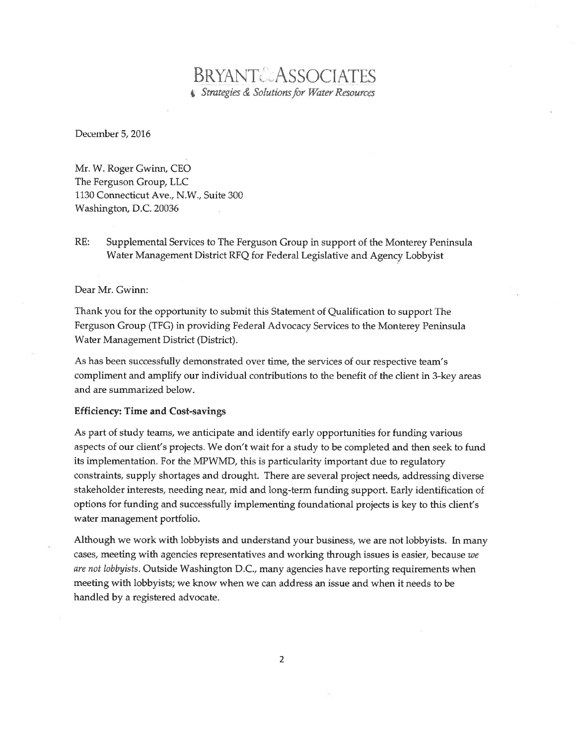# **BRYANT&ASSOCIATES** Strategies & Solutions for Water Resources

December 5, 2016

Mr. W. Roger Gwinn, CEO The Ferguson Group, LLC 1130 Connecticut Ave., N.W., Suite 300 Washington, D.C. 20036

 $RE:$ Supplemental Services to The Ferguson Group in support of the Monterey Peninsula Water Management District RFQ for Federal Legislative and Agency Lobbyist

#### Dear Mr. Gwinn:

Thank you for the opportunity to submit this Statement of Qualification to support The Ferguson Group (TFG) in providing Federal Advocacy Services to the Monterey Peninsula Water Management District (District).

As has been successfully demonstrated over time, the services of our respective team's compliment and amplify our individual contributions to the benefit of the client in 3-key areas and are summarized below.

#### **Efficiency: Time and Cost-savings**

As part of study teams, we anticipate and identify early opportunities for funding various aspects of our client's projects. We don't wait for a study to be completed and then seek to fund its implementation. For the MPWMD, this is particularity important due to regulatory constraints, supply shortages and drought. There are several project needs, addressing diverse stakeholder interests, needing near, mid and long-term funding support. Early identification of options for funding and successfully implementing foundational projects is key to this client's water management portfolio.

Although we work with lobbyists and understand your business, we are not lobbyists. In many cases, meeting with agencies representatives and working through issues is easier, because we are not lobbyists. Outside Washington D.C., many agencies have reporting requirements when meeting with lobbyists; we know when we can address an issue and when it needs to be handled by a registered advocate.

 $\overline{2}$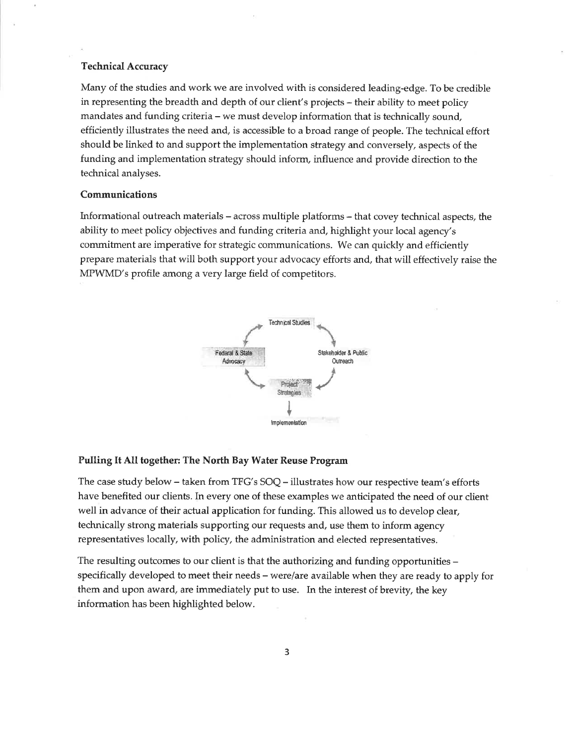#### **Technical Accuracy**

Many of the studies and work we are involved with is considered leading-edge. To be credible in representing the breadth and depth of our client's projects – their ability to meet policy mandates and funding criteria - we must develop information that is technically sound, efficiently illustrates the need and, is accessible to a broad range of people. The technical effort should be linked to and support the implementation strategy and conversely, aspects of the funding and implementation strategy should inform, influence and provide direction to the technical analyses.

#### Communications

Informational outreach materials – across multiple platforms – that covey technical aspects, the ability to meet policy objectives and funding criteria and, highlight your local agency's commitment are imperative for strategic communications. We can quickly and efficiently prepare materials that will both support your advocacy efforts and, that will effectively raise the MPWMD's profile among a very large field of competitors.



#### Pulling It All together: The North Bay Water Reuse Program

The case study below – taken from TFG's  $SOQ$  – illustrates how our respective team's efforts have benefited our clients. In every one of these examples we anticipated the need of our client well in advance of their actual application for funding. This allowed us to develop clear, technically strong materials supporting our requests and, use them to inform agency representatives locally, with policy, the administration and elected representatives.

The resulting outcomes to our client is that the authorizing and funding opportunities – specifically developed to meet their needs – were/are available when they are ready to apply for them and upon award, are immediately put to use. In the interest of brevity, the key information has been highlighted below.

3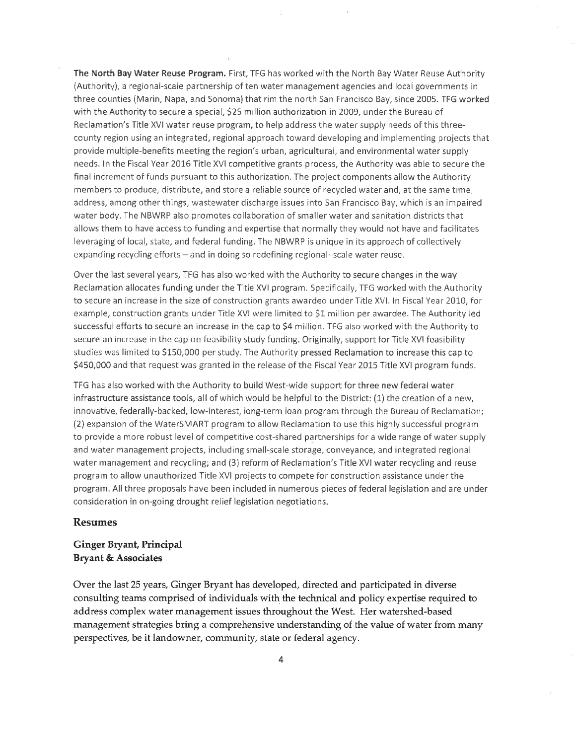The North Bay Water Reuse Program. First, TFG has worked with the North Bay Water Reuse Authority (Authority), a regional-scale partnership of ten water management agencies and local governments in three counties (Marin, Napa, and Sonoma) that rim the north San Francisco Bay, since 2005. TFG worked with the Authority to secure a special, \$25 million authorization in 2009, under the Bureau of Reclamation's Title XVI water reuse program, to help address the water supply needs of this threecounty region using an integrated, regional approach toward developing and implementing projects that provide multiple-benefits meeting the region's urban, agricultural, and environmental water supply needs. In the Fiscal Year 2016 Title XVI competitive grants process, the Authority was able to secure the final increment of funds pursuant to this authorization. The project components allow the Authority members to produce, distribute, and store a reliable source of recycled water and, at the same time, address, among other things, wastewater discharge issues into San Francisco Bay, which is an impaired water body. The NBWRP also promotes collaboration of smaller water and sanitation districts that allows them to have access to funding and expertise that normally they would not have and facilitates leveraging of local, state, and federal funding. The NBWRP is unique in its approach of collectively expanding recycling efforts - and in doing so redefining regional-scale water reuse.

Over the last several years, TFG has also worked with the Authority to secure changes in the way Reclamation allocates funding under the Title XVI program. Specifically, TFG worked with the Authority to secure an increase in the size of construction grants awarded under Title XVI. In Fiscal Year 2010, for example, construction grants under Title XVI were limited to \$1 million per awardee. The Authority led successful efforts to secure an increase in the cap to \$4 million. TFG also worked with the Authority to secure an increase in the cap on feasibility study funding. Originally, support for Title XVI feasibility studies was limited to \$150,000 per study. The Authority pressed Reclamation to increase this cap to \$450,000 and that request was granted in the release of the Fiscal Year 2015 Title XVI program funds.

TFG has also worked with the Authority to build West-wide support for three new federal water infrastructure assistance tools, all of which would be helpful to the District: (1) the creation of a new, innovative, federally-backed, low-interest, long-term loan program through the Bureau of Reclamation; (2) expansion of the WaterSMART program to allow Reclamation to use this highly successful program to provide a more robust level of competitive cost-shared partnerships for a wide range of water supply and water management projects, including small-scale storage, conveyance, and integrated regional water management and recycling; and (3) reform of Reclamation's Title XVI water recycling and reuse program to allow unauthorized Title XVI projects to compete for construction assistance under the program. All three proposals have been included in numerous pieces of federal legislation and are under consideration in on-going drought relief legislation negotiations.

#### **Resumes**

#### **Ginger Bryant, Principal Bryant & Associates**

Over the last 25 years, Ginger Bryant has developed, directed and participated in diverse consulting teams comprised of individuals with the technical and policy expertise required to address complex water management issues throughout the West. Her watershed-based management strategies bring a comprehensive understanding of the value of water from many perspectives, be it landowner, community, state or federal agency.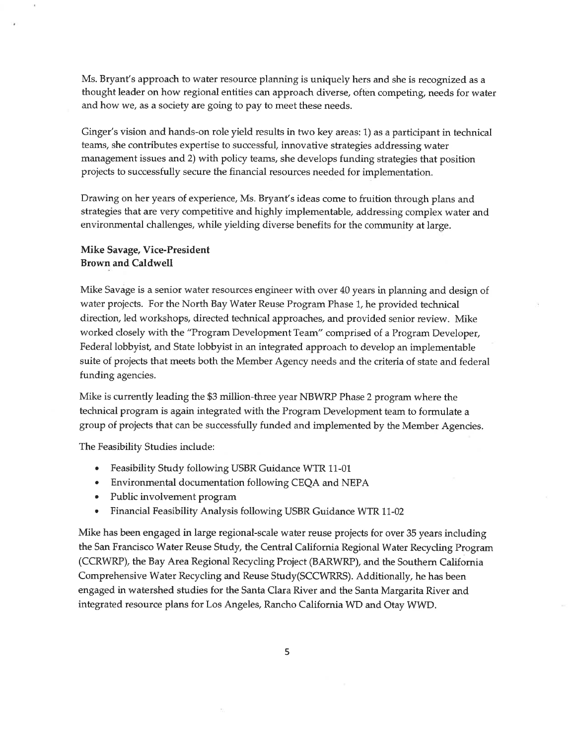Ms. Bryant's approach to water resource planning is uniquely hers and she is recognized as a thought leader on how regional entities can approach diverse, often competing, needs for water and how we, as a society are going to pay to meet these needs.

Ginger's vision and hands-on role yield results in two key areas: 1) as a participant in technical teams, she contributes expertise to successful, innovative strategies addressing water management issues and 2) with policy teams, she develops funding strategies that position projects to successfully secure the financial resources needed for implementation.

Drawing on her years of experience, Ms. Bryant's ideas come to fruition through plans and strategies that are very competitive and highly implementable, addressing complex water and environmental challenges, while yielding diverse benefits for the community at large.

#### Mike Savage, Vice-President **Brown and Caldwell**

Mike Savage is a senior water resources engineer with over 40 years in planning and design of water projects. For the North Bay Water Reuse Program Phase 1, he provided technical direction, led workshops, directed technical approaches, and provided senior review. Mike worked closely with the "Program Development Team" comprised of a Program Developer, Federal lobbyist, and State lobbyist in an integrated approach to develop an implementable suite of projects that meets both the Member Agency needs and the criteria of state and federal funding agencies.

Mike is currently leading the \$3 million-three year NBWRP Phase 2 program where the technical program is again integrated with the Program Development team to formulate a group of projects that can be successfully funded and implemented by the Member Agencies.

The Feasibility Studies include:

- Feasibility Study following USBR Guidance WTR 11-01  $\bullet$
- Environmental documentation following CEQA and NEPA  $\bullet$
- Public involvement program
- Financial Feasibility Analysis following USBR Guidance WTR 11-02  $\bullet$

Mike has been engaged in large regional-scale water reuse projects for over 35 years including the San Francisco Water Reuse Study, the Central California Regional Water Recycling Program (CCRWRP), the Bay Area Regional Recycling Project (BARWRP), and the Southern California Comprehensive Water Recycling and Reuse Study(SCCWRRS). Additionally, he has been engaged in watershed studies for the Santa Clara River and the Santa Margarita River and integrated resource plans for Los Angeles, Rancho California WD and Otay WWD.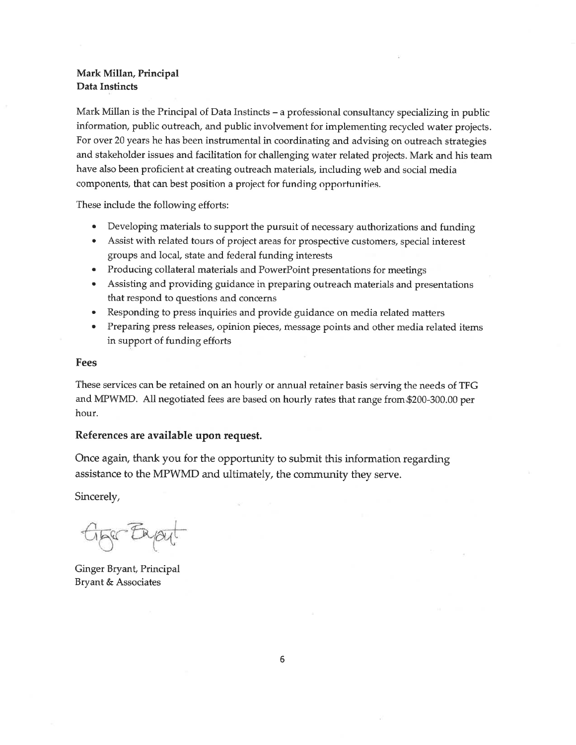#### Mark Millan, Principal Data Instincts

Mark Millan is the Principal of Data Instincts – a professional consultancy specializing in public information, public outreach, and public involvement for implementing recycled water projects. For over 20 years he has been instrumental in coordinating and advising on outreach strategies and stakeholder issues and facilitation for challenging water related projects. Mark and his team have also been proficient at creating outreach materials, including web and social media components, that can best position a project for funding opportunities.

These include the following efforts:

- $\bullet$ Developing materials to support the pursuit of necessary authorizations and funding
- Assist with related tours of project areas for prospective customers, special interest groups and local, state and federal funding interests
- $\bullet$ Producing collateral materials and PowerPoint presentations for meetings
- Assisting and providing guidance in preparing outreach materials and presentations  $\bullet$ that respond to questions and concerns
- Responding to press inquiries and provide guidance on media related matters
- Preparing press releases, opinion pieces, message points and other media related items in support of funding efforts

#### Fees

These services can be retained on an hourly or annual retainer basis serving the needs of TFG and MPWMD. All negotiated fees are based on hourly rates that range from \$200-300.00 per hour.

#### References are available upon request.

Once again, thank you for the opportunity to submit this information regarding assistance to the MPWMD and ultimately, the community they serve.

Sincerely,

GESC ENOU

Ginger Bryant, Principal Bryant & Associates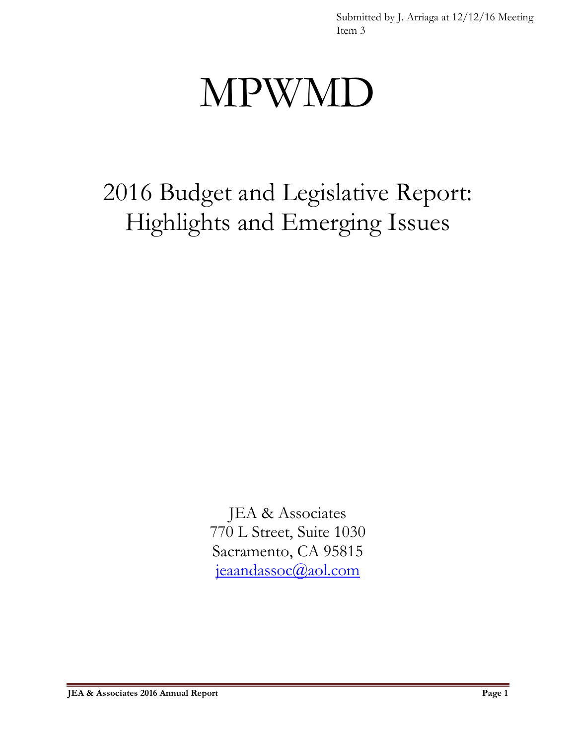Submitted by J. Arriaga at 12/12/16 Meeting Item 3

# MPWMD

2016 Budget and Legislative Report: Highlights and Emerging Issues

> JEA & Associates 770 L Street, Suite 1030 Sacramento, CA 95815 [jeaandassoc@aol.com](mailto:jeaandassoc@aol.com)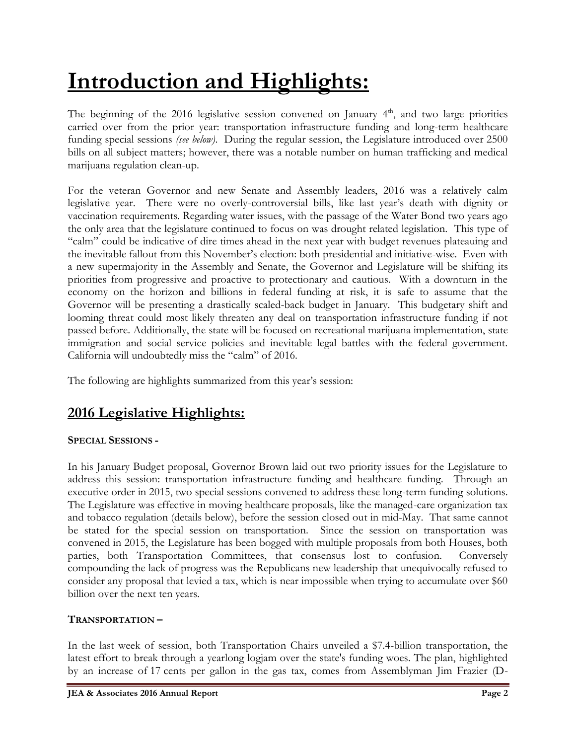# **Introduction and Highlights:**

The beginning of the 2016 legislative session convened on January  $4<sup>th</sup>$ , and two large priorities carried over from the prior year: transportation infrastructure funding and long-term healthcare funding special sessions *(see below)*. During the regular session, the Legislature introduced over 2500 bills on all subject matters; however, there was a notable number on human trafficking and medical marijuana regulation clean-up.

For the veteran Governor and new Senate and Assembly leaders, 2016 was a relatively calm legislative year. There were no overly-controversial bills, like last year's death with dignity or vaccination requirements. Regarding water issues, with the passage of the Water Bond two years ago the only area that the legislature continued to focus on was drought related legislation. This type of "calm" could be indicative of dire times ahead in the next year with budget revenues plateauing and the inevitable fallout from this November's election: both presidential and initiative-wise. Even with a new supermajority in the Assembly and Senate, the Governor and Legislature will be shifting its priorities from progressive and proactive to protectionary and cautious. With a downturn in the economy on the horizon and billions in federal funding at risk, it is safe to assume that the Governor will be presenting a drastically scaled-back budget in January. This budgetary shift and looming threat could most likely threaten any deal on transportation infrastructure funding if not passed before. Additionally, the state will be focused on recreational marijuana implementation, state immigration and social service policies and inevitable legal battles with the federal government. California will undoubtedly miss the "calm" of 2016.

The following are highlights summarized from this year's session:

# **2016 Legislative Highlights:**

# **SPECIAL SESSIONS -**

In his January Budget proposal, Governor Brown laid out two priority issues for the Legislature to address this session: transportation infrastructure funding and healthcare funding. Through an executive order in 2015, two special sessions convened to address these long-term funding solutions. The Legislature was effective in moving healthcare proposals, like the managed-care organization tax and tobacco regulation (details below), before the session closed out in mid-May. That same cannot be stated for the special session on transportation. Since the session on transportation was convened in 2015, the Legislature has been bogged with multiple proposals from both Houses, both parties, both Transportation Committees, that consensus lost to confusion. Conversely compounding the lack of progress was the Republicans new leadership that unequivocally refused to consider any proposal that levied a tax, which is near impossible when trying to accumulate over \$60 billion over the next ten years.

# **TRANSPORTATION –**

In the last week of session, both Transportation Chairs unveiled a \$7.4-billion transportation, the latest effort to break through a yearlong logjam over the state's funding woes. The plan, highlighted by an increase of 17 cents per gallon in the gas tax, comes from Assemblyman Jim Frazier (D-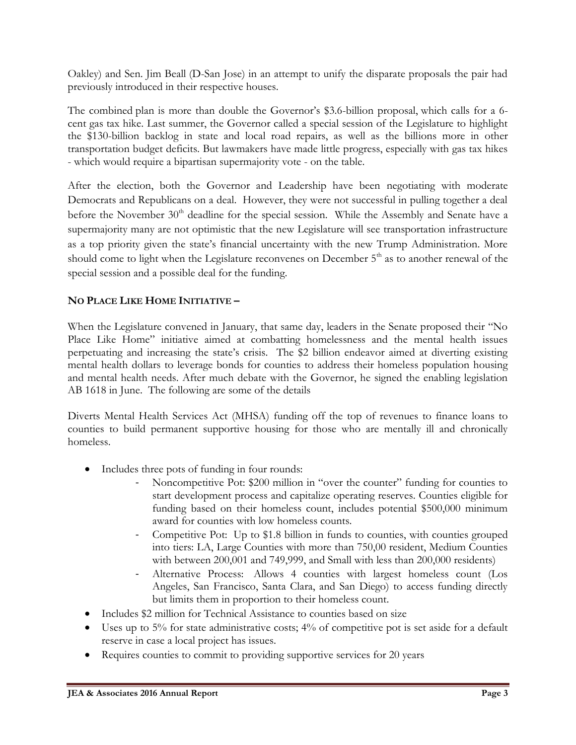Oakley) and Sen. Jim Beall (D-San Jose) in an attempt to unify the disparate proposals the pair had previously introduced in their respective houses.

The combined plan is more than double the Governor's \$3.6-billion proposal, which calls for a 6 cent gas tax hike. Last summer, the Governor called a special session of the Legislature to highlight the \$130-billion backlog in state and local road repairs, as well as the billions more in other transportation budget deficits. But lawmakers have made little progress, especially with gas tax hikes - which would require a bipartisan supermajority vote - on the table.

After the election, both the Governor and Leadership have been negotiating with moderate Democrats and Republicans on a deal. However, they were not successful in pulling together a deal before the November 30<sup>th</sup> deadline for the special session. While the Assembly and Senate have a supermajority many are not optimistic that the new Legislature will see transportation infrastructure as a top priority given the state's financial uncertainty with the new Trump Administration. More should come to light when the Legislature reconvenes on December  $5<sup>th</sup>$  as to another renewal of the special session and a possible deal for the funding.

# **NO PLACE LIKE HOME INITIATIVE –**

When the Legislature convened in January, that same day, leaders in the Senate proposed their "No Place Like Home" initiative aimed at combatting homelessness and the mental health issues perpetuating and increasing the state's crisis. The \$2 billion endeavor aimed at diverting existing mental health dollars to leverage bonds for counties to address their homeless population housing and mental health needs. After much debate with the Governor, he signed the enabling legislation AB 1618 in June. The following are some of the details

Diverts Mental Health Services Act (MHSA) funding off the top of revenues to finance loans to counties to build permanent supportive housing for those who are mentally ill and chronically homeless.

- Includes three pots of funding in four rounds:
	- Noncompetitive Pot: \$200 million in "over the counter" funding for counties to start development process and capitalize operating reserves. Counties eligible for funding based on their homeless count, includes potential \$500,000 minimum award for counties with low homeless counts.
	- Competitive Pot: Up to \$1.8 billion in funds to counties, with counties grouped into tiers: LA, Large Counties with more than 750,00 resident, Medium Counties with between 200,001 and 749,999, and Small with less than 200,000 residents)
	- Alternative Process: Allows 4 counties with largest homeless count (Los Angeles, San Francisco, Santa Clara, and San Diego) to access funding directly but limits them in proportion to their homeless count.
- Includes \$2 million for Technical Assistance to counties based on size
- Uses up to 5% for state administrative costs; 4% of competitive pot is set aside for a default reserve in case a local project has issues.
- Requires counties to commit to providing supportive services for 20 years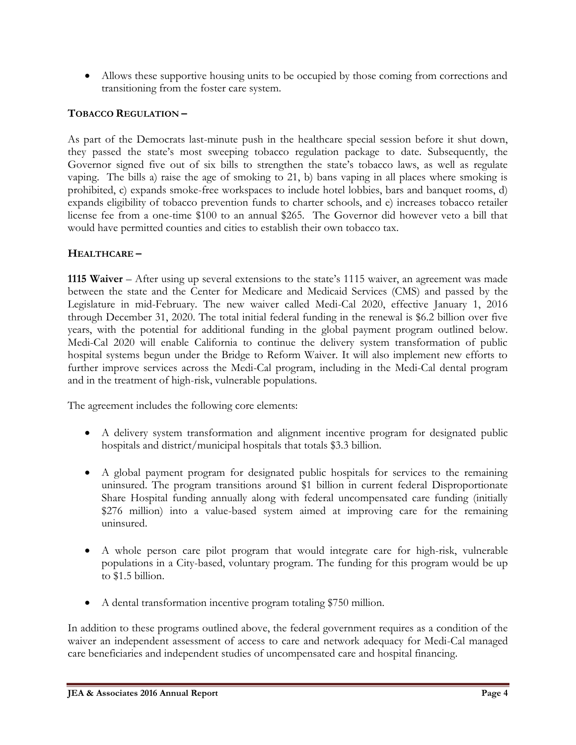Allows these supportive housing units to be occupied by those coming from corrections and transitioning from the foster care system.

# **TOBACCO REGULATION –**

As part of the Democrats last-minute push in the healthcare special session before it shut down, they passed the state's most sweeping tobacco regulation package to date. Subsequently, the Governor signed five out of six bills to strengthen the state's tobacco laws, as well as regulate vaping. The bills a) raise the age of smoking to 21, b) bans vaping in all places where smoking is prohibited, c) expands smoke-free workspaces to include hotel lobbies, bars and banquet rooms, d) expands eligibility of tobacco prevention funds to charter schools, and e) increases tobacco retailer license fee from a one-time \$100 to an annual \$265. The Governor did however veto a bill that would have permitted counties and cities to establish their own tobacco tax.

# **HEALTHCARE –**

**1115 Waiver** – After using up several extensions to the state's 1115 waiver, an agreement was made between the state and the Center for Medicare and Medicaid Services (CMS) and passed by the Legislature in mid-February. The new waiver called Medi-Cal 2020, effective January 1, 2016 through December 31, 2020. The total initial federal funding in the renewal is \$6.2 billion over five years, with the potential for additional funding in the global payment program outlined below. Medi-Cal 2020 will enable California to continue the delivery system transformation of public hospital systems begun under the Bridge to Reform Waiver. It will also implement new efforts to further improve services across the Medi-Cal program, including in the Medi-Cal dental program and in the treatment of high-risk, vulnerable populations.

The agreement includes the following core elements:

- A delivery system transformation and alignment incentive program for designated public hospitals and district/municipal hospitals that totals \$3.3 billion.
- A global payment program for designated public hospitals for services to the remaining uninsured. The program transitions around \$1 billion in current federal Disproportionate Share Hospital funding annually along with federal uncompensated care funding (initially \$276 million) into a value-based system aimed at improving care for the remaining uninsured.
- A whole person care pilot program that would integrate care for high-risk, vulnerable populations in a City-based, voluntary program. The funding for this program would be up to \$1.5 billion.
- A dental transformation incentive program totaling \$750 million.

In addition to these programs outlined above, the federal government requires as a condition of the waiver an independent assessment of access to care and network adequacy for Medi-Cal managed care beneficiaries and independent studies of uncompensated care and hospital financing.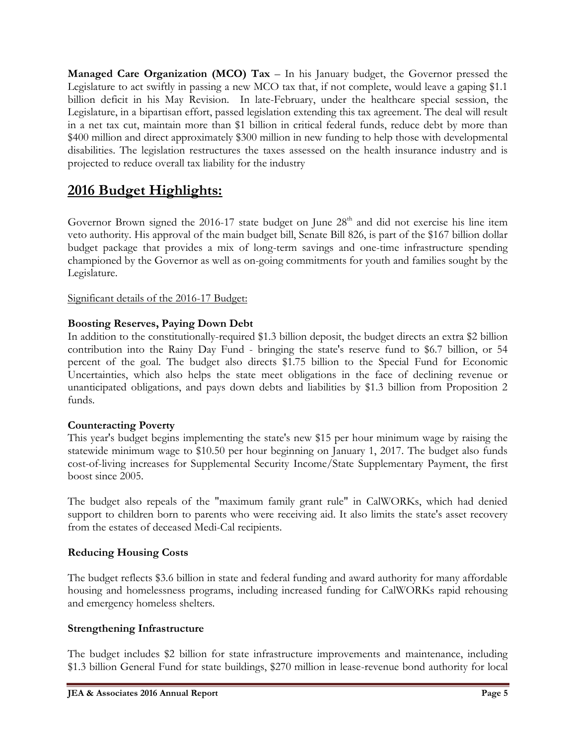**Managed Care Organization (MCO) Tax** – In his January budget, the Governor pressed the Legislature to act swiftly in passing a new MCO tax that, if not complete, would leave a gaping \$1.1 billion deficit in his May Revision. In late-February, under the healthcare special session, the Legislature, in a bipartisan effort, passed legislation extending this tax agreement. The deal will result in a net tax cut, maintain more than \$1 billion in critical federal funds, reduce debt by more than \$400 million and direct approximately \$300 million in new funding to help those with developmental disabilities. The legislation restructures the taxes assessed on the health insurance industry and is projected to reduce overall tax liability for the industry

# **2016 Budget Highlights:**

Governor Brown signed the 2016-17 state budget on June  $28<sup>th</sup>$  and did not exercise his line item veto authority. His approval of the main budget bill, Senate Bill 826, is part of the \$167 billion dollar budget package that provides a mix of long-term savings and one-time infrastructure spending championed by the Governor as well as on-going commitments for youth and families sought by the Legislature.

## Significant details of the 2016-17 Budget:

## **Boosting Reserves, Paying Down Debt**

In addition to the constitutionally-required \$1.3 billion deposit, the budget directs an extra \$2 billion contribution into the Rainy Day Fund - bringing the state's reserve fund to \$6.7 billion, or 54 percent of the goal. The budget also directs \$1.75 billion to the Special Fund for Economic Uncertainties, which also helps the state meet obligations in the face of declining revenue or unanticipated obligations, and pays down debts and liabilities by \$1.3 billion from Proposition 2 funds.

# **Counteracting Poverty**

This year's budget begins implementing the state's new \$15 per hour minimum wage by raising the statewide minimum wage to \$10.50 per hour beginning on January 1, 2017. The budget also funds cost-of-living increases for Supplemental Security Income/State Supplementary Payment, the first boost since 2005.

The budget also repeals of the "maximum family grant rule" in CalWORKs, which had denied support to children born to parents who were receiving aid. It also limits the state's asset recovery from the estates of deceased Medi-Cal recipients.

#### **Reducing Housing Costs**

The budget reflects \$3.6 billion in state and federal funding and award authority for many affordable housing and homelessness programs, including increased funding for CalWORKs rapid rehousing and emergency homeless shelters.

#### **Strengthening Infrastructure**

The budget includes \$2 billion for state infrastructure improvements and maintenance, including \$1.3 billion General Fund for state buildings, \$270 million in lease-revenue bond authority for local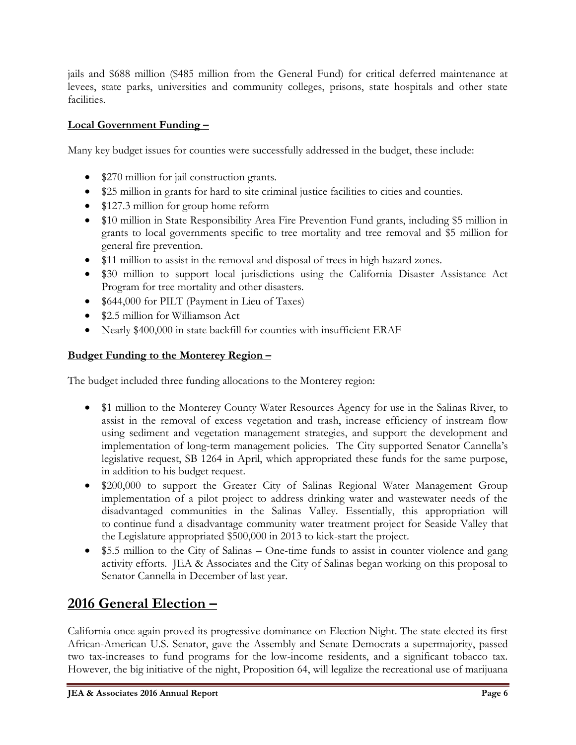jails and \$688 million (\$485 million from the General Fund) for critical deferred maintenance at levees, state parks, universities and community colleges, prisons, state hospitals and other state facilities.

# **Local Government Funding –**

Many key budget issues for counties were successfully addressed in the budget, these include:

- \$270 million for jail construction grants.
- \$25 million in grants for hard to site criminal justice facilities to cities and counties.
- \$127.3 million for group home reform
- \$10 million in State Responsibility Area Fire Prevention Fund grants, including \$5 million in grants to local governments specific to tree mortality and tree removal and \$5 million for general fire prevention.
- \$11 million to assist in the removal and disposal of trees in high hazard zones.
- \$30 million to support local jurisdictions using the California Disaster Assistance Act Program for tree mortality and other disasters.
- \$644,000 for PILT (Payment in Lieu of Taxes)
- \$2.5 million for Williamson Act
- Nearly \$400,000 in state backfill for counties with insufficient ERAF

# **Budget Funding to the Monterey Region –**

The budget included three funding allocations to the Monterey region:

- \$1 million to the Monterey County Water Resources Agency for use in the Salinas River, to assist in the removal of excess vegetation and trash, increase efficiency of instream flow using sediment and vegetation management strategies, and support the development and implementation of long-term management policies. The City supported Senator Cannella's legislative request, SB 1264 in April, which appropriated these funds for the same purpose, in addition to his budget request.
- \$200,000 to support the Greater City of Salinas Regional Water Management Group implementation of a pilot project to address drinking water and wastewater needs of the disadvantaged communities in the Salinas Valley. Essentially, this appropriation will to continue fund a disadvantage community water treatment project for Seaside Valley that the Legislature appropriated \$500,000 in 2013 to kick-start the project.
- \$5.5 million to the City of Salinas One-time funds to assist in counter violence and gang activity efforts. JEA & Associates and the City of Salinas began working on this proposal to Senator Cannella in December of last year.

# **2016 General Election –**

California once again proved its progressive dominance on Election Night. The state elected its first African-American U.S. Senator, gave the Assembly and Senate Democrats a supermajority, passed two tax-increases to fund programs for the low-income residents, and a significant tobacco tax. However, the big initiative of the night, Proposition 64, will legalize the recreational use of marijuana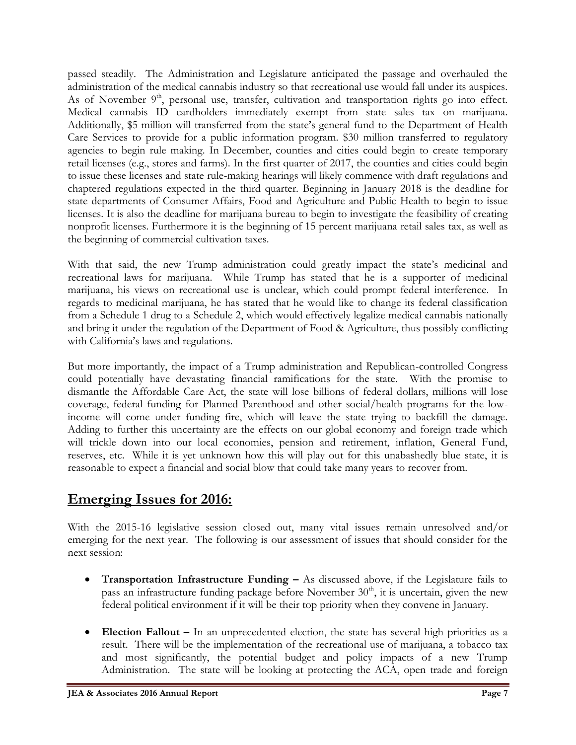passed steadily. The Administration and Legislature anticipated the passage and overhauled the administration of the medical cannabis industry so that recreational use would fall under its auspices. As of November 9<sup>th</sup>, personal use, transfer, cultivation and transportation rights go into effect. Medical cannabis ID cardholders immediately exempt from state sales tax on marijuana. Additionally, \$5 million will transferred from the state's general fund to the Department of Health Care Services to provide for a public information program. \$30 million transferred to regulatory agencies to begin rule making. In December, counties and cities could begin to create temporary retail licenses (e.g., stores and farms). In the first quarter of 2017, the counties and cities could begin to issue these licenses and state rule-making hearings will likely commence with draft regulations and chaptered regulations expected in the third quarter. Beginning in January 2018 is the deadline for state departments of Consumer Affairs, Food and Agriculture and Public Health to begin to issue licenses. It is also the deadline for marijuana bureau to begin to investigate the feasibility of creating nonprofit licenses. Furthermore it is the beginning of 15 percent marijuana retail sales tax, as well as the beginning of commercial cultivation taxes.

With that said, the new Trump administration could greatly impact the state's medicinal and recreational laws for marijuana. While Trump has stated that he is a supporter of medicinal marijuana, his views on recreational use is unclear, which could prompt federal interference. In regards to medicinal marijuana, he has stated that he would like to change its federal classification from a Schedule 1 drug to a Schedule 2, which would effectively legalize medical cannabis nationally and bring it under the regulation of the Department of Food & Agriculture, thus possibly conflicting with California's laws and regulations.

But more importantly, the impact of a Trump administration and Republican-controlled Congress could potentially have devastating financial ramifications for the state. With the promise to dismantle the Affordable Care Act, the state will lose billions of federal dollars, millions will lose coverage, federal funding for Planned Parenthood and other social/health programs for the lowincome will come under funding fire, which will leave the state trying to backfill the damage. Adding to further this uncertainty are the effects on our global economy and foreign trade which will trickle down into our local economies, pension and retirement, inflation, General Fund, reserves, etc. While it is yet unknown how this will play out for this unabashedly blue state, it is reasonable to expect a financial and social blow that could take many years to recover from.

# **Emerging Issues for 2016:**

With the 2015-16 legislative session closed out, many vital issues remain unresolved and/or emerging for the next year. The following is our assessment of issues that should consider for the next session:

- **Transportation Infrastructure Funding –** As discussed above, if the Legislature fails to pass an infrastructure funding package before November  $30<sup>th</sup>$ , it is uncertain, given the new federal political environment if it will be their top priority when they convene in January.
- Election Fallout In an unprecedented election, the state has several high priorities as a result. There will be the implementation of the recreational use of marijuana, a tobacco tax and most significantly, the potential budget and policy impacts of a new Trump Administration. The state will be looking at protecting the ACA, open trade and foreign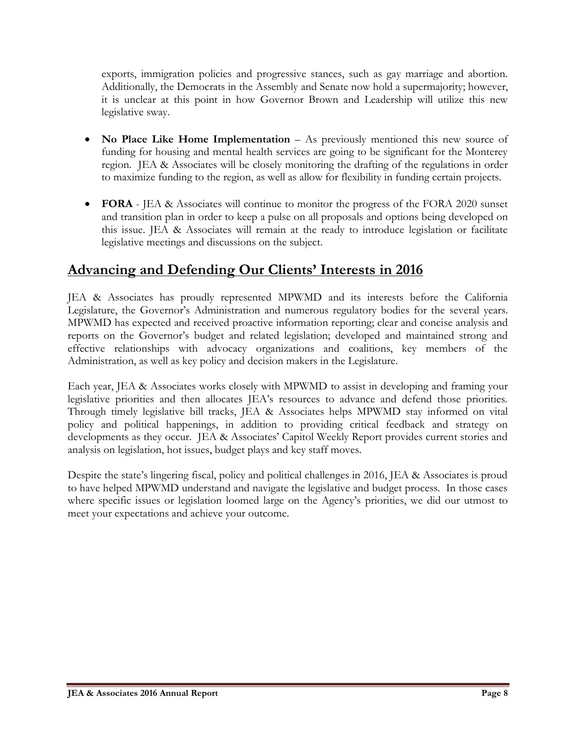exports, immigration policies and progressive stances, such as gay marriage and abortion. Additionally, the Democrats in the Assembly and Senate now hold a supermajority; however, it is unclear at this point in how Governor Brown and Leadership will utilize this new legislative sway.

- **No Place Like Home Implementation** As previously mentioned this new source of funding for housing and mental health services are going to be significant for the Monterey region. JEA & Associates will be closely monitoring the drafting of the regulations in order to maximize funding to the region, as well as allow for flexibility in funding certain projects.
- **FORA** JEA & Associates will continue to monitor the progress of the FORA 2020 sunset and transition plan in order to keep a pulse on all proposals and options being developed on this issue. JEA & Associates will remain at the ready to introduce legislation or facilitate legislative meetings and discussions on the subject.

# **Advancing and Defending Our Clients' Interests in 2016**

JEA & Associates has proudly represented MPWMD and its interests before the California Legislature, the Governor's Administration and numerous regulatory bodies for the several years. MPWMD has expected and received proactive information reporting; clear and concise analysis and reports on the Governor's budget and related legislation; developed and maintained strong and effective relationships with advocacy organizations and coalitions, key members of the Administration, as well as key policy and decision makers in the Legislature.

Each year, JEA & Associates works closely with MPWMD to assist in developing and framing your legislative priorities and then allocates JEA's resources to advance and defend those priorities. Through timely legislative bill tracks, JEA & Associates helps MPWMD stay informed on vital policy and political happenings, in addition to providing critical feedback and strategy on developments as they occur. JEA & Associates' Capitol Weekly Report provides current stories and analysis on legislation, hot issues, budget plays and key staff moves.

Despite the state's lingering fiscal, policy and political challenges in 2016, JEA & Associates is proud to have helped MPWMD understand and navigate the legislative and budget process. In those cases where specific issues or legislation loomed large on the Agency's priorities, we did our utmost to meet your expectations and achieve your outcome.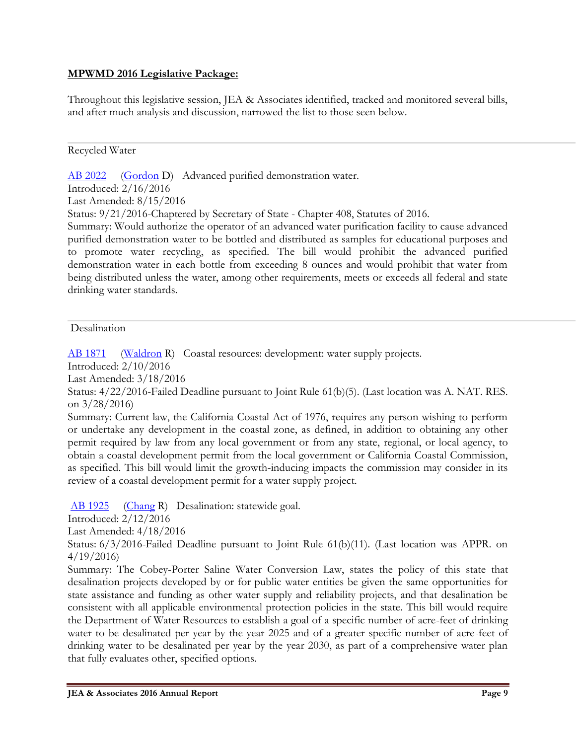## **MPWMD 2016 Legislative Package:**

Throughout this legislative session, JEA & Associates identified, tracked and monitored several bills, and after much analysis and discussion, narrowed the list to those seen below.

#### Recycled Water

[AB 2022](http://ctweb.capitoltrack.com/public/publishbillinfo.aspx?bi=I6eks665U%2fXlaKn6an%2fevQ%2bgK8Wyog3N8CeTfEmTDvSqlUyGPOANI%2fCHz5liPcx9) [\(Gordon](http://asmdc.org/members/a24/) D) Advanced purified demonstration water. Introduced: 2/16/2016

Last Amended: 8/15/2016

Status: 9/21/2016-Chaptered by Secretary of State - Chapter 408, Statutes of 2016.

Summary: Would authorize the operator of an advanced water purification facility to cause advanced purified demonstration water to be bottled and distributed as samples for educational purposes and to promote water recycling, as specified. The bill would prohibit the advanced purified demonstration water in each bottle from exceeding 8 ounces and would prohibit that water from being distributed unless the water, among other requirements, meets or exceeds all federal and state drinking water standards.

#### **Desalination**

[AB 1871](http://ctweb.capitoltrack.com/public/publishbillinfo.aspx?bi=w6t6FJqy%2bKABEDLVR0EzMCcq2KYBX81hPom%2bHtStOvyP1uE8CfAiHCSwhtrJvqbK) [\(Waldron](https://ad75.asmrc.org/) R) Coastal resources: development: water supply projects.

Introduced: 2/10/2016

Last Amended: 3/18/2016

Status: 4/22/2016-Failed Deadline pursuant to Joint Rule 61(b)(5). (Last location was A. NAT. RES. on 3/28/2016)

Summary: Current law, the California Coastal Act of 1976, requires any person wishing to perform or undertake any development in the coastal zone, as defined, in addition to obtaining any other permit required by law from any local government or from any state, regional, or local agency, to obtain a coastal development permit from the local government or California Coastal Commission, as specified. This bill would limit the growth-inducing impacts the commission may consider in its review of a coastal development permit for a water supply project.

[AB 1925](http://ctweb.capitoltrack.com/public/publishbillinfo.aspx?bi=d47nLqtnLwXqxWFnsp%2fSKCoDD1VtDJpZxqL2RxpCus8oKzyhCTtfi2L8rC1fQEJ%2b) [\(Chang](https://ad55.asmrc.org/) R) Desalination: statewide goal.

Introduced: 2/12/2016

Last Amended: 4/18/2016

Status: 6/3/2016-Failed Deadline pursuant to Joint Rule 61(b)(11). (Last location was APPR. on 4/19/2016)

Summary: The Cobey-Porter Saline Water Conversion Law, states the policy of this state that desalination projects developed by or for public water entities be given the same opportunities for state assistance and funding as other water supply and reliability projects, and that desalination be consistent with all applicable environmental protection policies in the state. This bill would require the Department of Water Resources to establish a goal of a specific number of acre-feet of drinking water to be desalinated per year by the year 2025 and of a greater specific number of acre-feet of drinking water to be desalinated per year by the year 2030, as part of a comprehensive water plan that fully evaluates other, specified options.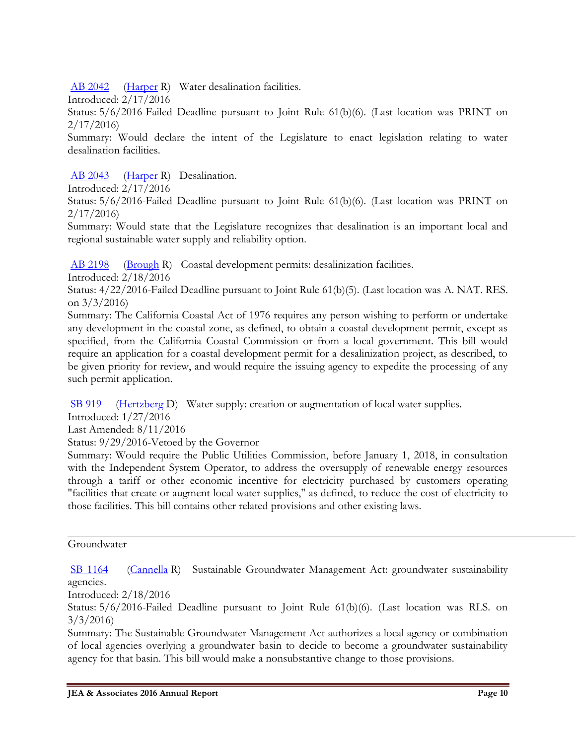[AB 2042](http://ctweb.capitoltrack.com/public/publishbillinfo.aspx?bi=nCPIasIRZ8OKM%2fxYa6grjNKPGWB7wfNsL6fenk93Y6xfwOaMAKDBiA6NbZK50z3x) [\(Harper](https://ad74.asmrc.org/) R) Water desalination facilities.

Introduced: 2/17/2016

Status: 5/6/2016-Failed Deadline pursuant to Joint Rule 61(b)(6). (Last location was PRINT on 2/17/2016)

Summary: Would declare the intent of the Legislature to enact legislation relating to water desalination facilities.

[AB 2043](http://ctweb.capitoltrack.com/public/publishbillinfo.aspx?bi=f4QqZuJk1h8A%2fJMc4n2O211fM2Tgx2BxNMGd4FXf%2fP%2f9GPGmKyuWt5I5oqo1QYst) [\(Harper](https://ad74.asmrc.org/) R) Desalination.

Introduced: 2/17/2016

Status: 5/6/2016-Failed Deadline pursuant to Joint Rule 61(b)(6). (Last location was PRINT on 2/17/2016)

Summary: Would state that the Legislature recognizes that desalination is an important local and regional sustainable water supply and reliability option.

[AB 2198](http://ctweb.capitoltrack.com/public/publishbillinfo.aspx?bi=wGyDihuvgL8Y%2fL1a7s%2bpwhfH%2bmjZDDR5W%2fjAAksqUBMUoojqhtGn%2bwLwvIfz1Llv) [\(Brough](http://ad73.asmrc.org/) R) Coastal development permits: desalinization facilities.

Introduced: 2/18/2016

Status: 4/22/2016-Failed Deadline pursuant to Joint Rule 61(b)(5). (Last location was A. NAT. RES. on  $3/3/2016$ 

Summary: The California Coastal Act of 1976 requires any person wishing to perform or undertake any development in the coastal zone, as defined, to obtain a coastal development permit, except as specified, from the California Coastal Commission or from a local government. This bill would require an application for a coastal development permit for a desalinization project, as described, to be given priority for review, and would require the issuing agency to expedite the processing of any such permit application.

[SB 919](http://ctweb.capitoltrack.com/public/publishbillinfo.aspx?bi=yUWsQ2EsrOHqwhVP9lvQpB8wBJHFR%2fAaQp99%2bMV%2fHqlvn70vlm7IRGEhGtFyMdC3) [\(Hertzberg](http://sd18.senate.ca.gov/) D) Water supply: creation or augmentation of local water supplies.

Introduced: 1/27/2016

Last Amended: 8/11/2016

Status: 9/29/2016-Vetoed by the Governor

Summary: Would require the Public Utilities Commission, before January 1, 2018, in consultation with the Independent System Operator, to address the oversupply of renewable energy resources through a tariff or other economic incentive for electricity purchased by customers operating "facilities that create or augment local water supplies," as defined, to reduce the cost of electricity to those facilities. This bill contains other related provisions and other existing laws.

## Groundwater

[SB 1164](http://ctweb.capitoltrack.com/public/publishbillinfo.aspx?bi=qkFADDmMsvAY9BdBtKp10lW1jVyVT3bhQihHH4vDsSDDfAxNXpcO6TbP%2fFG0xJzf) [\(Cannella](http://district12.cssrc.us/) R) Sustainable Groundwater Management Act: groundwater sustainability agencies.

Introduced: 2/18/2016

Status: 5/6/2016-Failed Deadline pursuant to Joint Rule 61(b)(6). (Last location was RLS. on 3/3/2016)

Summary: The Sustainable Groundwater Management Act authorizes a local agency or combination of local agencies overlying a groundwater basin to decide to become a groundwater sustainability agency for that basin. This bill would make a nonsubstantive change to those provisions.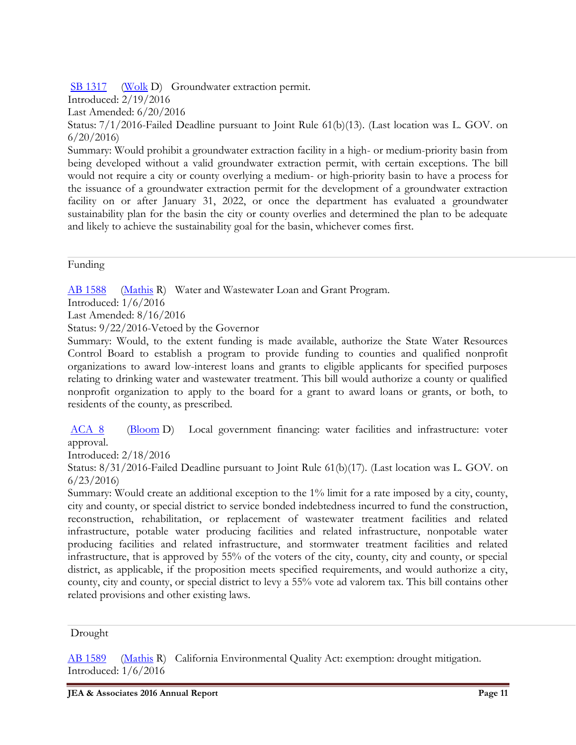[SB 1317](http://ctweb.capitoltrack.com/public/publishbillinfo.aspx?bi=hGp3j40hpQTncmPiOpOS85zFtyGCMDIon2wc8UefNvQlcC4kEzoK0MYSUoVyuXEe) [\(Wolk](http://sd03.senate.ca.gov/) D) Groundwater extraction permit.

Introduced: 2/19/2016

Last Amended: 6/20/2016

Status: 7/1/2016-Failed Deadline pursuant to Joint Rule 61(b)(13). (Last location was L. GOV. on 6/20/2016)

Summary: Would prohibit a groundwater extraction facility in a high- or medium-priority basin from being developed without a valid groundwater extraction permit, with certain exceptions. The bill would not require a city or county overlying a medium- or high-priority basin to have a process for the issuance of a groundwater extraction permit for the development of a groundwater extraction facility on or after January 31, 2022, or once the department has evaluated a groundwater sustainability plan for the basin the city or county overlies and determined the plan to be adequate and likely to achieve the sustainability goal for the basin, whichever comes first.

Funding

[AB 1588](http://ctweb.capitoltrack.com/public/publishbillinfo.aspx?bi=ihsVm39AHl5n9rG4hwQG%2fD6%2bSX7rFIn3YoXW6TxdPxqmkzj%2bY5af%2blTMbkTH72YQ) [\(Mathis](http://ad26.asmrc.org/) R) Water and Wastewater Loan and Grant Program. Introduced: 1/6/2016 Last Amended: 8/16/2016

Status: 9/22/2016-Vetoed by the Governor

Summary: Would, to the extent funding is made available, authorize the State Water Resources Control Board to establish a program to provide funding to counties and qualified nonprofit organizations to award low-interest loans and grants to eligible applicants for specified purposes relating to drinking water and wastewater treatment. This bill would authorize a county or qualified nonprofit organization to apply to the board for a grant to award loans or grants, or both, to residents of the county, as prescribed.

[ACA 8](http://ctweb.capitoltrack.com/public/publishbillinfo.aspx?bi=M9HJ%2fb5jGAuUOxbFsUuaVUMf8yPACO%2fkVriYLsfnldOeB7RWOkUkCNI1oC7qlw2w) [\(Bloom](http://asmdc.org/members/a50/) D) Local government financing: water facilities and infrastructure: voter approval.

Introduced: 2/18/2016

Status: 8/31/2016-Failed Deadline pursuant to Joint Rule 61(b)(17). (Last location was L. GOV. on 6/23/2016)

Summary: Would create an additional exception to the 1% limit for a rate imposed by a city, county, city and county, or special district to service bonded indebtedness incurred to fund the construction, reconstruction, rehabilitation, or replacement of wastewater treatment facilities and related infrastructure, potable water producing facilities and related infrastructure, nonpotable water producing facilities and related infrastructure, and stormwater treatment facilities and related infrastructure, that is approved by 55% of the voters of the city, county, city and county, or special district, as applicable, if the proposition meets specified requirements, and would authorize a city, county, city and county, or special district to levy a 55% vote ad valorem tax. This bill contains other related provisions and other existing laws.

Drought

[AB 1589](http://ctweb.capitoltrack.com/public/publishbillinfo.aspx?bi=j9k%2f6mS6qWzW98xE2RDkVaPoccO3fZQKXxLU7A2zyZ52ggrC%2bKIU4B5OwhZtm26r) [\(Mathis](http://ad26.asmrc.org/) R) California Environmental Quality Act: exemption: drought mitigation. Introduced: 1/6/2016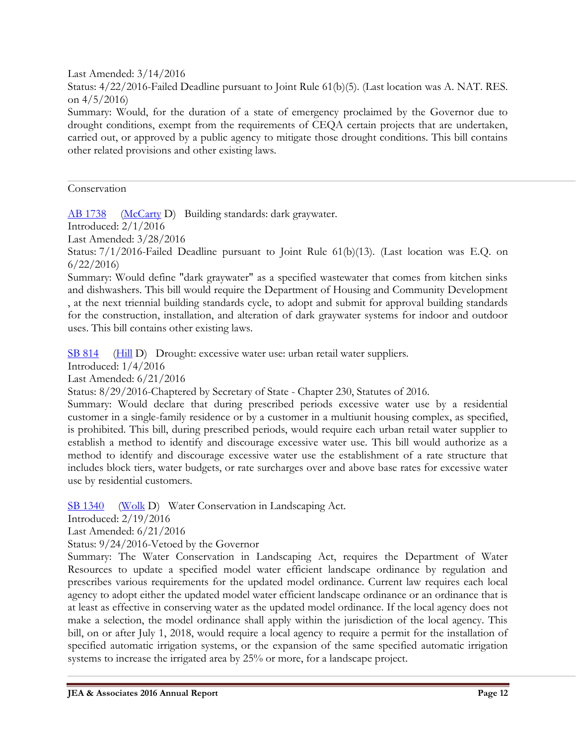Last Amended: 3/14/2016

Status: 4/22/2016-Failed Deadline pursuant to Joint Rule 61(b)(5). (Last location was A. NAT. RES. on  $4/5/2016$ 

Summary: Would, for the duration of a state of emergency proclaimed by the Governor due to drought conditions, exempt from the requirements of CEQA certain projects that are undertaken, carried out, or approved by a public agency to mitigate those drought conditions. This bill contains other related provisions and other existing laws.

Conservation

[AB 1738](http://ctweb.capitoltrack.com/public/publishbillinfo.aspx?bi=HmABdjiQl0sq8bJhIMjSDc5d0Fn9ydaisUC7HPWrvGyTqf2ihQFWf3JcKpaShGos) [\(McCarty](http://asmdc.org/members/a07/) D) Building standards: dark graywater.

Introduced: 2/1/2016

Last Amended: 3/28/2016

Status: 7/1/2016-Failed Deadline pursuant to Joint Rule 61(b)(13). (Last location was E.Q. on 6/22/2016)

Summary: Would define "dark graywater" as a specified wastewater that comes from kitchen sinks and dishwashers. This bill would require the Department of Housing and Community Development , at the next triennial building standards cycle, to adopt and submit for approval building standards for the construction, installation, and alteration of dark graywater systems for indoor and outdoor uses. This bill contains other existing laws.

[SB 814](http://ctweb.capitoltrack.com/public/publishbillinfo.aspx?bi=%2bu75gVqeGWyRNDqzgDpom7m3WihSXYwQ%2bHH8Qmxo55dKIU5mA14t8u2KaSF6goI3) [\(Hill](http://sd13.senate.ca.gov/) D) Drought: excessive water use: urban retail water suppliers.

Introduced: 1/4/2016

Last Amended: 6/21/2016

Status: 8/29/2016-Chaptered by Secretary of State - Chapter 230, Statutes of 2016.

Summary: Would declare that during prescribed periods excessive water use by a residential customer in a single-family residence or by a customer in a multiunit housing complex, as specified, is prohibited. This bill, during prescribed periods, would require each urban retail water supplier to establish a method to identify and discourage excessive water use. This bill would authorize as a method to identify and discourage excessive water use the establishment of a rate structure that includes block tiers, water budgets, or rate surcharges over and above base rates for excessive water use by residential customers.

[SB 1340](http://ctweb.capitoltrack.com/public/publishbillinfo.aspx?bi=2OqyljlMFupgSMqjZ2t0RcRNo8jdwDtsfe%2bRMwupVdDUJxvWDSyv8vq3MhBrcFj3) [\(Wolk](http://sd03.senate.ca.gov/) D) Water Conservation in Landscaping Act.

Introduced: 2/19/2016

Last Amended: 6/21/2016

Status: 9/24/2016-Vetoed by the Governor

Summary: The Water Conservation in Landscaping Act, requires the Department of Water Resources to update a specified model water efficient landscape ordinance by regulation and prescribes various requirements for the updated model ordinance. Current law requires each local agency to adopt either the updated model water efficient landscape ordinance or an ordinance that is at least as effective in conserving water as the updated model ordinance. If the local agency does not make a selection, the model ordinance shall apply within the jurisdiction of the local agency. This bill, on or after July 1, 2018, would require a local agency to require a permit for the installation of specified automatic irrigation systems, or the expansion of the same specified automatic irrigation systems to increase the irrigated area by 25% or more, for a landscape project.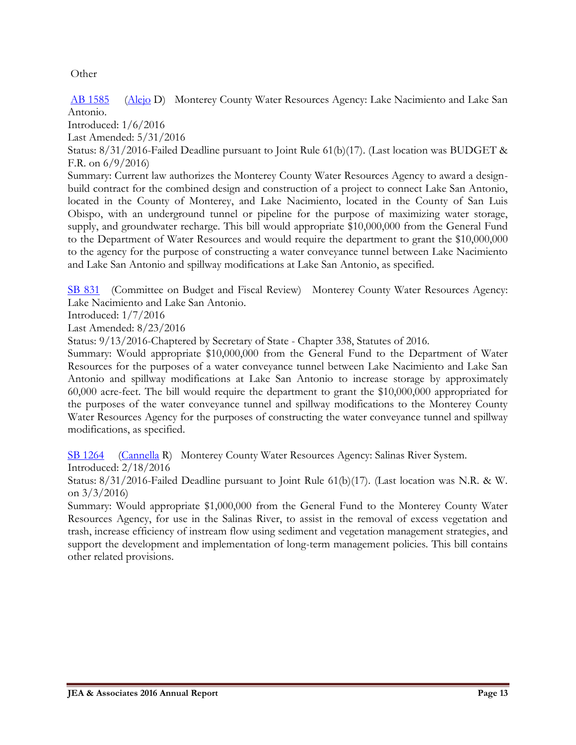Other

[AB 1585](http://ctweb.capitoltrack.com/public/publishbillinfo.aspx?bi=V4LLRT2fukd94ZJ%2buzPhiypxVTgfDDfKBmmyKLRGl%2beFkLIcdLAuuqIZtqJTHHE8) [\(Alejo](http://asmdc.org/members/a30/) D) Monterey County Water Resources Agency: Lake Nacimiento and Lake San Antonio.

Introduced: 1/6/2016

Last Amended: 5/31/2016

Status: 8/31/2016-Failed Deadline pursuant to Joint Rule 61(b)(17). (Last location was BUDGET & F.R. on 6/9/2016)

Summary: Current law authorizes the Monterey County Water Resources Agency to award a designbuild contract for the combined design and construction of a project to connect Lake San Antonio, located in the County of Monterey, and Lake Nacimiento, located in the County of San Luis Obispo, with an underground tunnel or pipeline for the purpose of maximizing water storage, supply, and groundwater recharge. This bill would appropriate \$10,000,000 from the General Fund to the Department of Water Resources and would require the department to grant the \$10,000,000 to the agency for the purpose of constructing a water conveyance tunnel between Lake Nacimiento and Lake San Antonio and spillway modifications at Lake San Antonio, as specified.

[SB 831](http://ctweb.capitoltrack.com/public/publishbillinfo.aspx?bi=dshbL3K0XMTAztPqmpiltT3w5hNWUL9Iz18ytxuGy8rigoTU9YhmaOZmOsRzm2t3) (Committee on Budget and Fiscal Review) Monterey County Water Resources Agency: Lake Nacimiento and Lake San Antonio.

Introduced: 1/7/2016

Last Amended: 8/23/2016

Status: 9/13/2016-Chaptered by Secretary of State - Chapter 338, Statutes of 2016.

Summary: Would appropriate \$10,000,000 from the General Fund to the Department of Water Resources for the purposes of a water conveyance tunnel between Lake Nacimiento and Lake San Antonio and spillway modifications at Lake San Antonio to increase storage by approximately 60,000 acre-feet. The bill would require the department to grant the \$10,000,000 appropriated for the purposes of the water conveyance tunnel and spillway modifications to the Monterey County Water Resources Agency for the purposes of constructing the water conveyance tunnel and spillway modifications, as specified.

[SB 1264](http://ctweb.capitoltrack.com/public/publishbillinfo.aspx?bi=h29W7ZbnYidA8p8MRbak1Txxn9ZTnc%2bs%2f0JISzBvymaUVMEC%2blJJZRwK3UoOJQGg) [\(Cannella](http://district12.cssrc.us/) R) Monterey County Water Resources Agency: Salinas River System.

Introduced: 2/18/2016

Status: 8/31/2016-Failed Deadline pursuant to Joint Rule 61(b)(17). (Last location was N.R. & W. on  $3/3/2016$ 

Summary: Would appropriate \$1,000,000 from the General Fund to the Monterey County Water Resources Agency, for use in the Salinas River, to assist in the removal of excess vegetation and trash, increase efficiency of instream flow using sediment and vegetation management strategies, and support the development and implementation of long-term management policies. This bill contains other related provisions.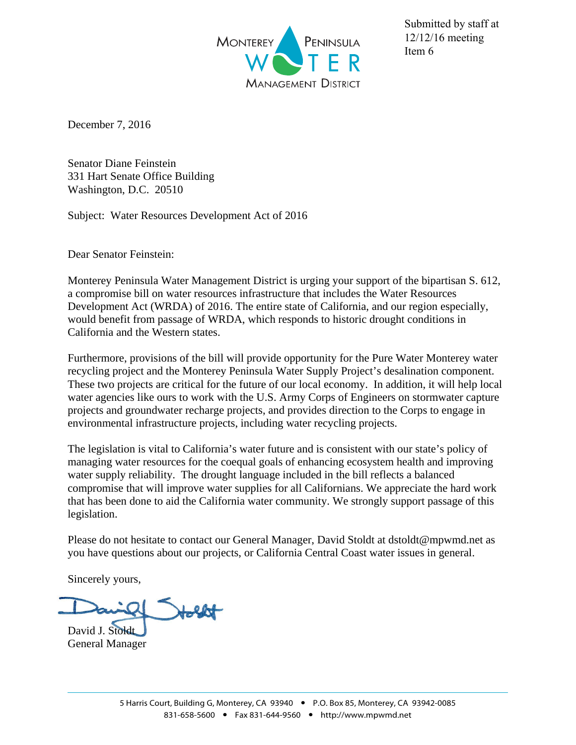

Submitted by staff at 12/12/16 meeting Item 6

December 7, 2016

Senator Diane Feinstein 331 Hart Senate Office Building Washington, D.C. 20510

Subject: Water Resources Development Act of 2016

Dear Senator Feinstein:

Monterey Peninsula Water Management District is urging your support of the bipartisan S. 612, a compromise bill on water resources infrastructure that includes the Water Resources Development Act (WRDA) of 2016. The entire state of California, and our region especially, would benefit from passage of WRDA, which responds to historic drought conditions in California and the Western states.

Furthermore, provisions of the bill will provide opportunity for the Pure Water Monterey water recycling project and the Monterey Peninsula Water Supply Project's desalination component. These two projects are critical for the future of our local economy. In addition, it will help local water agencies like ours to work with the U.S. Army Corps of Engineers on stormwater capture projects and groundwater recharge projects, and provides direction to the Corps to engage in environmental infrastructure projects, including water recycling projects.

The legislation is vital to California's water future and is consistent with our state's policy of managing water resources for the coequal goals of enhancing ecosystem health and improving water supply reliability. The drought language included in the bill reflects a balanced compromise that will improve water supplies for all Californians. We appreciate the hard work that has been done to aid the California water community. We strongly support passage of this legislation.

Please do not hesitate to contact our General Manager, David Stoldt at dstoldt@mpwmd.net as you have questions about our projects, or California Central Coast water issues in general.

Sincerely yours,

David J. Stoldt General Manager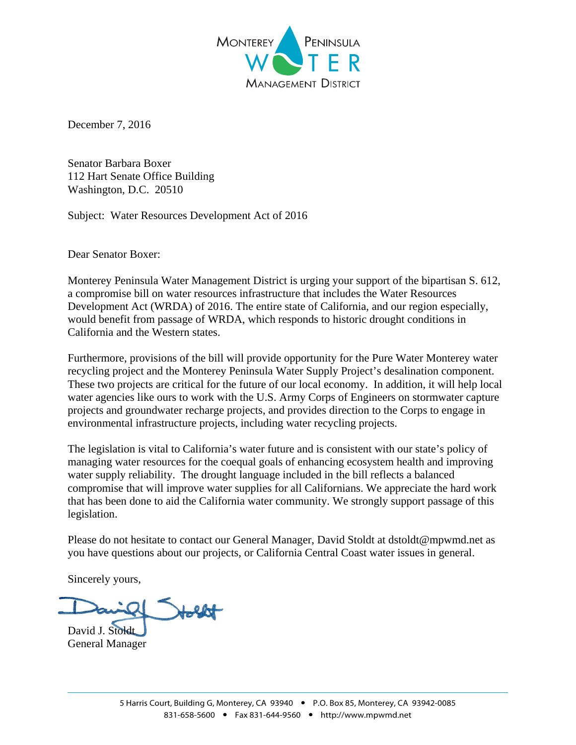

December 7, 2016

Senator Barbara Boxer 112 Hart Senate Office Building Washington, D.C. 20510

Subject: Water Resources Development Act of 2016

Dear Senator Boxer:

Monterey Peninsula Water Management District is urging your support of the bipartisan S. 612, a compromise bill on water resources infrastructure that includes the Water Resources Development Act (WRDA) of 2016. The entire state of California, and our region especially, would benefit from passage of WRDA, which responds to historic drought conditions in California and the Western states.

Furthermore, provisions of the bill will provide opportunity for the Pure Water Monterey water recycling project and the Monterey Peninsula Water Supply Project's desalination component. These two projects are critical for the future of our local economy. In addition, it will help local water agencies like ours to work with the U.S. Army Corps of Engineers on stormwater capture projects and groundwater recharge projects, and provides direction to the Corps to engage in environmental infrastructure projects, including water recycling projects.

The legislation is vital to California's water future and is consistent with our state's policy of managing water resources for the coequal goals of enhancing ecosystem health and improving water supply reliability. The drought language included in the bill reflects a balanced compromise that will improve water supplies for all Californians. We appreciate the hard work that has been done to aid the California water community. We strongly support passage of this legislation.

Please do not hesitate to contact our General Manager, David Stoldt at dstoldt@mpwmd.net as you have questions about our projects, or California Central Coast water issues in general.

Sincerely yours,

David J. Stoldt General Manager